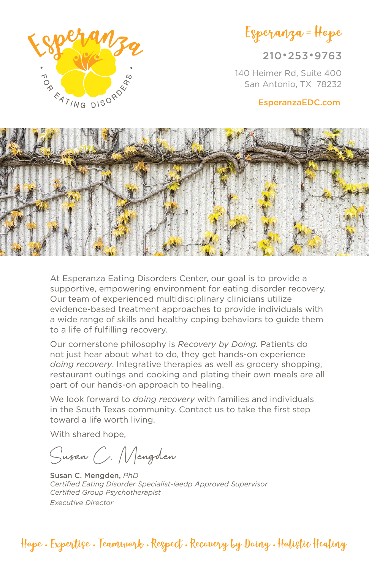

210•253•9763

140 Heimer Rd, Suite 400 San Antonio, TX 78232

#### EsperanzaEDC.com



At Esperanza Eating Disorders Center, our goal is to provide a supportive, empowering environment for eating disorder recovery. Our team of experienced multidisciplinary clinicians utilize evidence-based treatment approaches to provide individuals with a wide range of skills and healthy coping behaviors to guide them to a life of fulfilling recovery.

Our cornerstone philosophy is *Recovery by Doing.* Patients do not just hear about what to do, they get hands-on experience *doing recovery*. Integrative therapies as well as grocery shopping, restaurant outings and cooking and plating their own meals are all part of our hands-on approach to healing.

We look forward to *doing recovery* with families and individuals in the South Texas community. Contact us to take the first step toward a life worth living.

With shared hope,

Susan C. Mengden

Susan C. Mengden, *PhD Certified Eating Disorder Specialist-iaedp Approved Supervisor Certified Group Psychotherapist Executive Director*

Hope • Expertise • Teamwork • Respect • Recovery by Doing • Holistic Healing

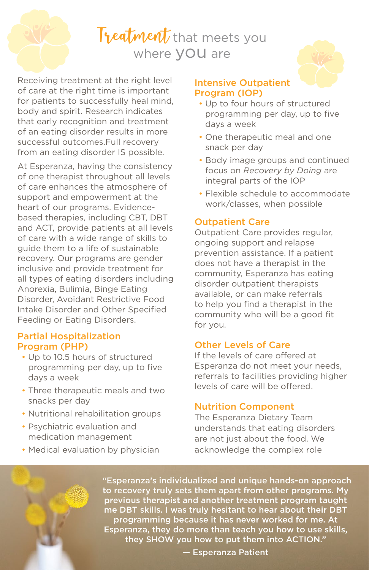# Treatment that meets you where VOU are

Receiving treatment at the right level of care at the right time is important for patients to successfully heal mind, body and spirit. Research indicates that early recognition and treatment of an eating disorder results in more successful outcomes.Full recovery from an eating disorder IS possible.

At Esperanza, having the consistency of one therapist throughout all levels of care enhances the atmosphere of support and empowerment at the heart of our programs. Evidencebased therapies, including CBT, DBT and ACT, provide patients at all levels of care with a wide range of skills to guide them to a life of sustainable recovery. Our programs are gender inclusive and provide treatment for all types of eating disorders including Anorexia, Bulimia, Binge Eating Disorder, Avoidant Restrictive Food Intake Disorder and Other Specified Feeding or Eating Disorders.

## Partial Hospitalization Program (PHP)

- Up to 10.5 hours of structured programming per day, up to five days a week
- Three therapeutic meals and two snacks per day
- Nutritional rehabilitation groups
- Psychiatric evaluation and medication management
- Medical evaluation by physician

### Intensive Outpatient Program (IOP)

- Up to four hours of structured programming per day, up to five days a week
- One therapeutic meal and one snack per day
- Body image groups and continued focus on *Recovery by Doing* are integral parts of the IOP
- Flexible schedule to accommodate work/classes, when possible

# Outpatient Care

Outpatient Care provides regular, ongoing support and relapse prevention assistance. If a patient does not have a therapist in the community, Esperanza has eating disorder outpatient therapists available, or can make referrals to help you find a therapist in the community who will be a good fit for you.

## Other Levels of Care

If the levels of care offered at Esperanza do not meet your needs, referrals to facilities providing higher levels of care will be offered.

# Nutrition Component

The Esperanza Dietary Team understands that eating disorders are not just about the food. We acknowledge the complex role

 "Esperanza's individualized and unique hands-on approach to recovery truly sets them apart from other programs. My previous therapist and another treatment program taught me DBT skills. I was truly hesitant to hear about their DBT programming because it has never worked for me. At Esperanza, they do more than teach you how to use skills, they SHOW you how to put them into ACTION."

— Esperanza Patient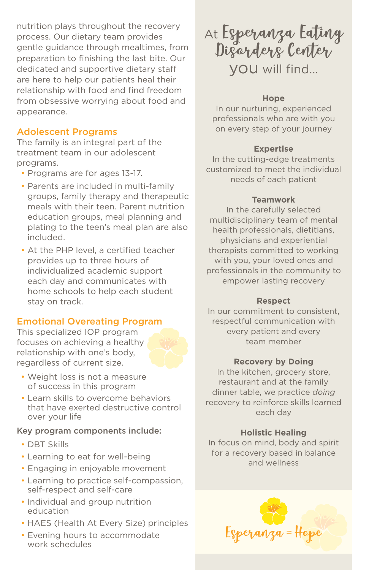nutrition plays throughout the recovery process. Our dietary team provides gentle guidance through mealtimes, from preparation to finishing the last bite. Our dedicated and supportive dietary staff are here to help our patients heal their relationship with food and find freedom from obsessive worrying about food and appearance.

## Adolescent Programs

The family is an integral part of the treatment team in our adolescent programs.

- Programs are for ages 13-17.
- Parents are included in multi-family groups, family therapy and therapeutic meals with their teen. Parent nutrition education groups, meal planning and plating to the teen's meal plan are also included.
- At the PHP level, a certified teacher provides up to three hours of individualized academic support each day and communicates with home schools to help each student stay on track.

## Emotional Overeating Program

This specialized IOP program focuses on achieving a healthy relationship with one's body, regardless of current size.

- Weight loss is not a measure of success in this program
- Learn skills to overcome behaviors that have exerted destructive control over your life

#### Key program components include:

- DBT Skills
- Learning to eat for well-being
- Engaging in enjoyable movement
- Learning to practice self-compassion, self-respect and self-care
- Individual and group nutrition education
- HAES (Health At Every Size) principles
- Evening hours to accommodate work schedules

At Esperanza Eating Disorders Center you will find...

## **Hope**

In our nurturing, experienced professionals who are with you on every step of your journey

## **Expertise**

In the cutting-edge treatments customized to meet the individual needs of each patient

## **Teamwork**

In the carefully selected multidisciplinary team of mental health professionals, dietitians, physicians and experiential therapists committed to working with you, your loved ones and professionals in the community to empower lasting recovery

### **Respect**

In our commitment to consistent, respectful communication with every patient and every team member

### **Recovery by Doing**

In the kitchen, grocery store, restaurant and at the family dinner table, we practice *doing*  recovery to reinforce skills learned each day

## **Holistic Healing**

In focus on mind, body and spirit for a recovery based in balance and wellness